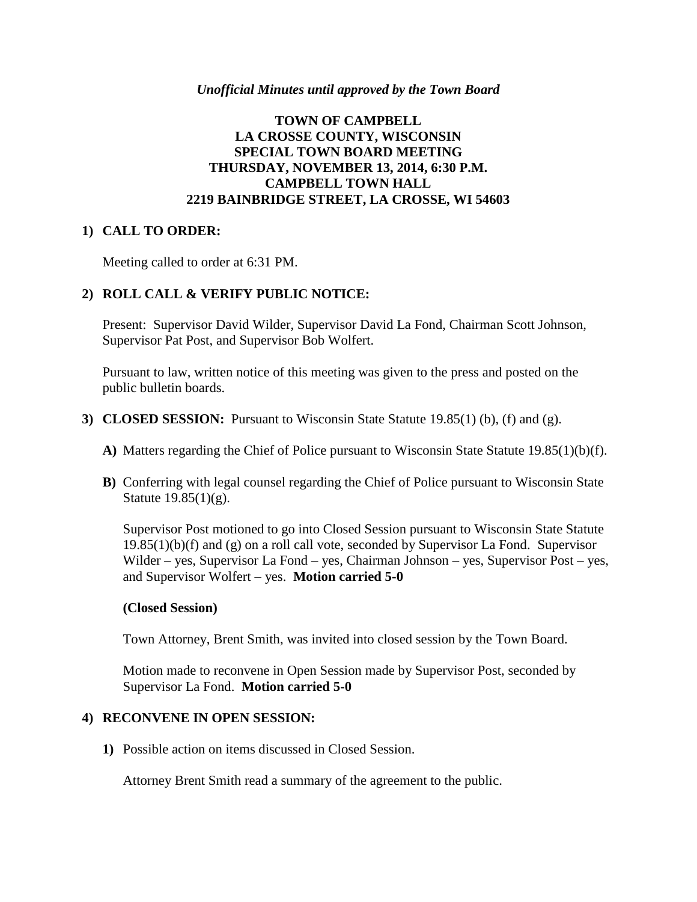#### *Unofficial Minutes until approved by the Town Board*

## **TOWN OF CAMPBELL LA CROSSE COUNTY, WISCONSIN SPECIAL TOWN BOARD MEETING THURSDAY, NOVEMBER 13, 2014, 6:30 P.M. CAMPBELL TOWN HALL 2219 BAINBRIDGE STREET, LA CROSSE, WI 54603**

### **1) CALL TO ORDER:**

Meeting called to order at 6:31 PM.

### **2) ROLL CALL & VERIFY PUBLIC NOTICE:**

Present: Supervisor David Wilder, Supervisor David La Fond, Chairman Scott Johnson, Supervisor Pat Post, and Supervisor Bob Wolfert.

Pursuant to law, written notice of this meeting was given to the press and posted on the public bulletin boards.

- **3) CLOSED SESSION:** Pursuant to Wisconsin State Statute 19.85(1) (b), (f) and (g).
	- **A)** Matters regarding the Chief of Police pursuant to Wisconsin State Statute 19.85(1)(b)(f).
	- **B)** Conferring with legal counsel regarding the Chief of Police pursuant to Wisconsin State Statute 19.85(1)(g).

Supervisor Post motioned to go into Closed Session pursuant to Wisconsin State Statute  $19.85(1)(b)(f)$  and (g) on a roll call vote, seconded by Supervisor La Fond. Supervisor Wilder – yes, Supervisor La Fond – yes, Chairman Johnson – yes, Supervisor Post – yes, and Supervisor Wolfert – yes. **Motion carried 5-0**

#### **(Closed Session)**

Town Attorney, Brent Smith, was invited into closed session by the Town Board.

Motion made to reconvene in Open Session made by Supervisor Post, seconded by Supervisor La Fond. **Motion carried 5-0**

#### **4) RECONVENE IN OPEN SESSION:**

**1)** Possible action on items discussed in Closed Session.

Attorney Brent Smith read a summary of the agreement to the public.